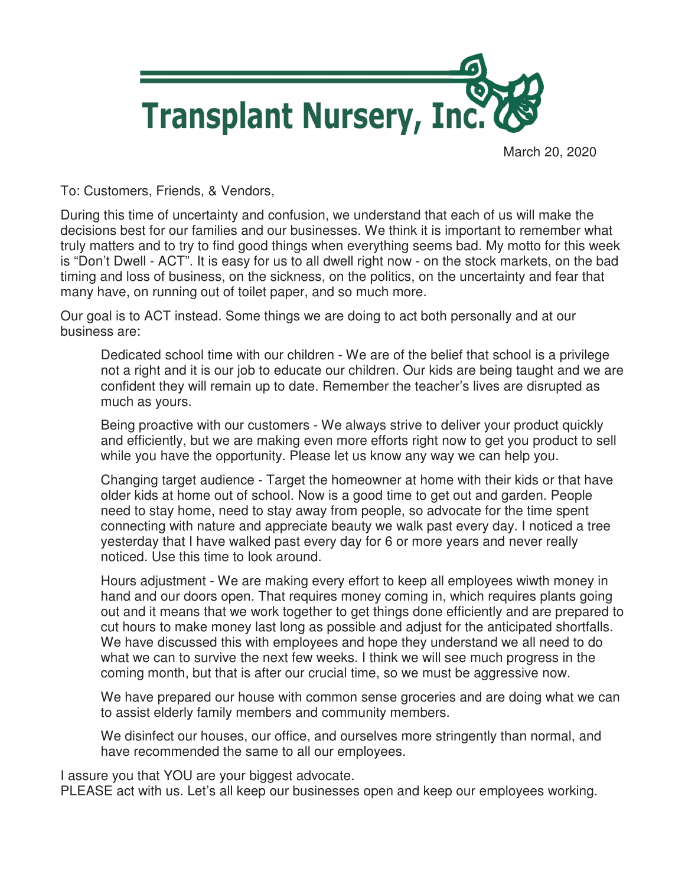

March 20, 2020

To: Customers, Friends, & Vendors,

During this time of uncertainty and confusion, we understand that each of us will make the decisions best for our families and our businesses. We think it is important to remember what truly matters and to try to find good things when everything seems bad. My motto for this week is "Don't Dwell - ACT". It is easy for us to all dwell right now - on the stock markets, on the bad timing and loss of business, on the sickness, on the politics, on the uncertainty and fear that many have, on running out of toilet paper, and so much more.

Our goal is to ACT instead. Some things we are doing to act both personally and at our business are:

Dedicated school time with our children - We are of the belief that school is a privilege not a right and it is our job to educate our children. Our kids are being taught and we are confident they will remain up to date. Remember the teacher's lives are disrupted as much as yours.

Being proactive with our customers - We always strive to deliver your product quickly and efficiently, but we are making even more efforts right now to get you product to sell while you have the opportunity. Please let us know any way we can help you.

Changing target audience - Target the homeowner at home with their kids or that have older kids at home out of school. Now is a good time to get out and garden. People need to stay home, need to stay away from people, so advocate for the time spent connecting with nature and appreciate beauty we walk past every day. I noticed a tree yesterday that I have walked past every day for 6 or more years and never really noticed. Use this time to look around.

Hours adjustment - We are making every effort to keep all employees wiwth money in hand and our doors open. That requires money coming in, which requires plants going out and it means that we work together to get things done efficiently and are prepared to cut hours to make money last long as possible and adjust for the anticipated shortfalls. We have discussed this with employees and hope they understand we all need to do what we can to survive the next few weeks. I think we will see much progress in the coming month, but that is after our crucial time, so we must be aggressive now.

We have prepared our house with common sense groceries and are doing what we can to assist elderly family members and community members.

We disinfect our houses, our office, and ourselves more stringently than normal, and have recommended the same to all our employees.

I assure you that YOU are your biggest advocate.

PLEASE act with us. Let's all keep our businesses open and keep our employees working.